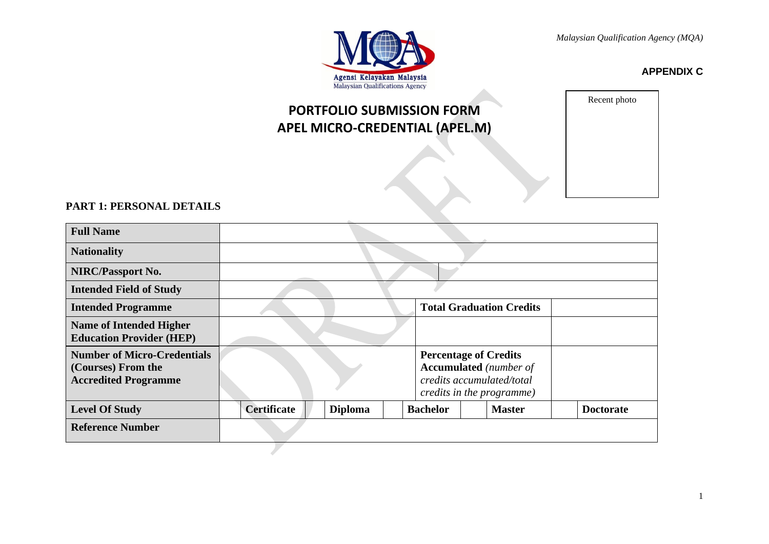

**APPENDIX C**

# **PORTFOLIO SUBMISSION FORM APEL MICRO-CREDENTIAL (APEL.M)**

Recent photo

# **PART 1: PERSONAL DETAILS**

| <b>Full Name</b>                                                                        |                    |                |                              |                                                                                         |                  |
|-----------------------------------------------------------------------------------------|--------------------|----------------|------------------------------|-----------------------------------------------------------------------------------------|------------------|
| <b>Nationality</b>                                                                      |                    |                |                              |                                                                                         |                  |
| <b>NIRC/Passport No.</b>                                                                |                    |                |                              |                                                                                         |                  |
| <b>Intended Field of Study</b>                                                          |                    |                |                              |                                                                                         |                  |
| <b>Intended Programme</b>                                                               |                    |                |                              | <b>Total Graduation Credits</b>                                                         |                  |
| <b>Name of Intended Higher</b><br><b>Education Provider (HEP)</b>                       |                    |                |                              |                                                                                         |                  |
| <b>Number of Micro-Credentials</b><br>(Courses) From the<br><b>Accredited Programme</b> |                    |                | <b>Percentage of Credits</b> | <b>Accumulated</b> (number of<br>credits accumulated/total<br>credits in the programme) |                  |
| <b>Level Of Study</b>                                                                   | <b>Certificate</b> | <b>Diploma</b> | <b>Bachelor</b>              | <b>Master</b>                                                                           | <b>Doctorate</b> |
| <b>Reference Number</b>                                                                 |                    |                |                              |                                                                                         |                  |
|                                                                                         |                    |                |                              |                                                                                         |                  |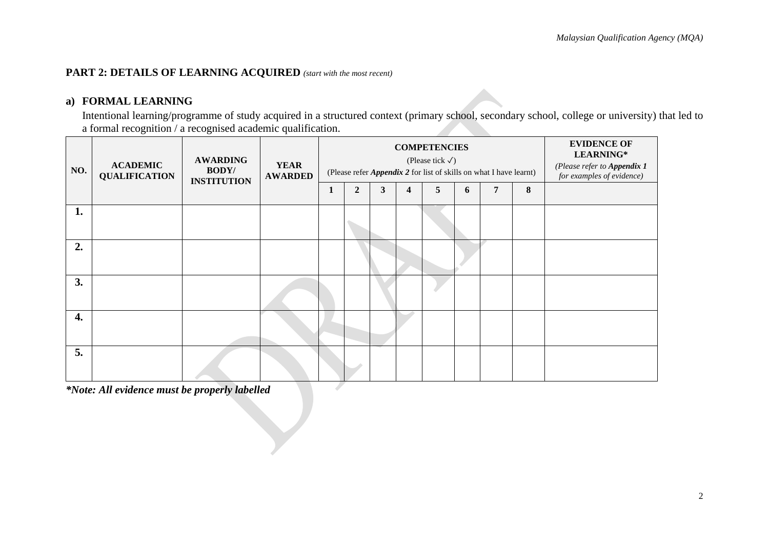## **PART 2: DETAILS OF LEARNING ACQUIRED** *(start with the most recent)*

# **a) FORMAL LEARNING**

Intentional learning/programme of study acquired in a structured context (primary school, secondary school, college or university) that led to a formal recognition / a recognised academic qualification.

| NO. | <b>ACADEMIC</b><br><b>QUALIFICATION</b> | <b>AWARDING</b><br><b>BODY/</b><br><b>INSTITUTION</b> | <b>YEAR</b><br><b>AWARDED</b> |   | (Please refer <i>Appendix 2</i> for list of skills on what I have learnt) | <b>COMPETENCIES</b> | <b>EVIDENCE OF</b><br>LEARNING*<br>(Please refer to Appendix 1<br>for examples of evidence) |   |   |   |   |  |
|-----|-----------------------------------------|-------------------------------------------------------|-------------------------------|---|---------------------------------------------------------------------------|---------------------|---------------------------------------------------------------------------------------------|---|---|---|---|--|
|     |                                         |                                                       |                               | 1 | $\overline{2}$                                                            | 3                   | $\boldsymbol{4}$                                                                            | 5 | 6 | 7 | 8 |  |
| 1.  |                                         |                                                       |                               |   |                                                                           |                     |                                                                                             |   |   |   |   |  |
| 2.  |                                         |                                                       |                               |   |                                                                           |                     |                                                                                             |   |   |   |   |  |
| 3.  |                                         |                                                       |                               |   |                                                                           |                     |                                                                                             |   |   |   |   |  |
| 4.  |                                         |                                                       |                               |   |                                                                           |                     |                                                                                             |   |   |   |   |  |
| 5.  |                                         |                                                       |                               |   |                                                                           |                     |                                                                                             |   |   |   |   |  |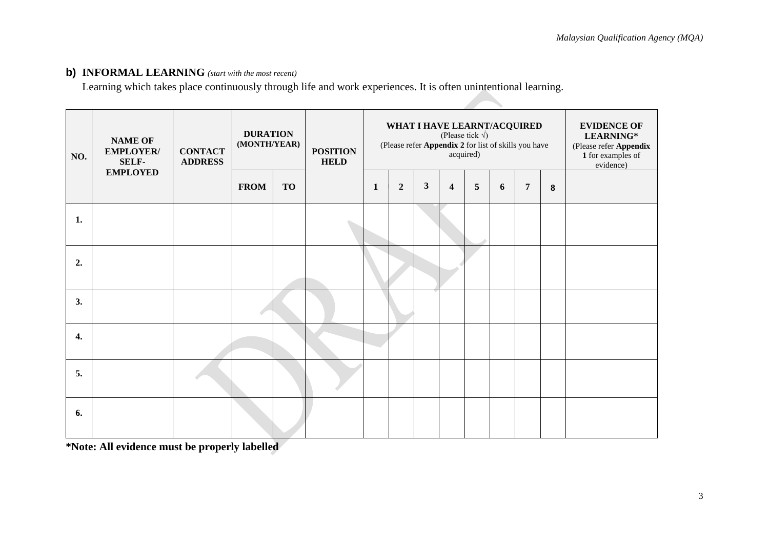## **b) INFORMAL LEARNING** *(start with the most recent)*

Learning which takes place continuously through life and work experiences. It is often unintentional learning.

| NO. | <b>NAME OF</b><br>EMPLOYER/<br><b>SELF-</b> | <b>CONTACT</b><br><b>ADDRESS</b> | <b>DURATION</b><br>(MONTH/YEAR) |           | <b>POSITION</b><br><b>HELD</b> |   | WHAT I HAVE LEARNT/ACQUIRED<br>(Please refer Appendix 2 for list of skills you have |              | <b>EVIDENCE OF</b><br>LEARNING*<br>(Please refer Appendix<br>1 for examples of<br>evidence) |   |   |                |   |  |
|-----|---------------------------------------------|----------------------------------|---------------------------------|-----------|--------------------------------|---|-------------------------------------------------------------------------------------|--------------|---------------------------------------------------------------------------------------------|---|---|----------------|---|--|
|     | <b>EMPLOYED</b>                             |                                  | <b>FROM</b>                     | <b>TO</b> |                                | 1 | $\boldsymbol{2}$                                                                    | $\mathbf{3}$ | $\overline{\mathbf{4}}$                                                                     | 5 | 6 | $\overline{7}$ | 8 |  |
| 1.  |                                             |                                  |                                 |           |                                |   |                                                                                     |              |                                                                                             |   |   |                |   |  |
| 2.  |                                             |                                  |                                 |           |                                |   |                                                                                     |              |                                                                                             |   |   |                |   |  |
| 3.  |                                             |                                  |                                 |           |                                |   |                                                                                     |              |                                                                                             |   |   |                |   |  |
| 4.  |                                             |                                  |                                 |           |                                |   |                                                                                     |              |                                                                                             |   |   |                |   |  |
| 5.  |                                             |                                  |                                 |           |                                |   |                                                                                     |              |                                                                                             |   |   |                |   |  |
| 6.  |                                             |                                  |                                 |           |                                |   |                                                                                     |              |                                                                                             |   |   |                |   |  |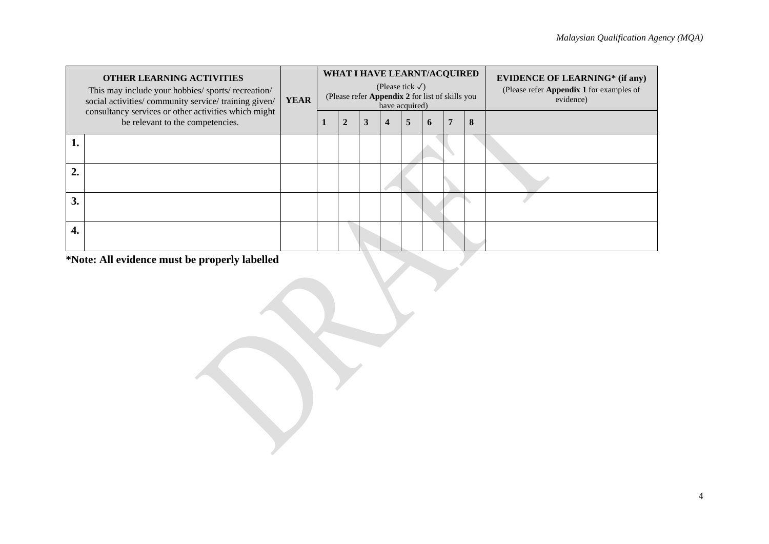|                  | <b>OTHER LEARNING ACTIVITIES</b><br>This may include your hobbies/ sports/ recreation/<br>social activities/ community service/ training given/<br>consultancy services or other activities which might | <b>YEAR</b> | WHAT I HAVE LEARNT/ACQUIRED<br>(Please tick $\sqrt{}$ )<br>(Please refer Appendix 2 for list of skills you<br>have acquired) |                |   |   |   |   |   |   | <b>EVIDENCE OF LEARNING*</b> (if any)<br>(Please refer Appendix 1 for examples of<br>evidence) |  |  |
|------------------|---------------------------------------------------------------------------------------------------------------------------------------------------------------------------------------------------------|-------------|------------------------------------------------------------------------------------------------------------------------------|----------------|---|---|---|---|---|---|------------------------------------------------------------------------------------------------|--|--|
|                  | be relevant to the competencies.                                                                                                                                                                        |             |                                                                                                                              | $\overline{2}$ | 3 | 4 | 5 | 6 | 7 | 8 |                                                                                                |  |  |
|                  |                                                                                                                                                                                                         |             |                                                                                                                              |                |   |   |   |   |   |   |                                                                                                |  |  |
| $\overline{2}$ . |                                                                                                                                                                                                         |             |                                                                                                                              |                |   |   |   |   |   |   |                                                                                                |  |  |
| 3.               |                                                                                                                                                                                                         |             |                                                                                                                              |                |   |   |   |   |   |   |                                                                                                |  |  |
| 4.               |                                                                                                                                                                                                         |             |                                                                                                                              |                |   |   |   |   |   |   |                                                                                                |  |  |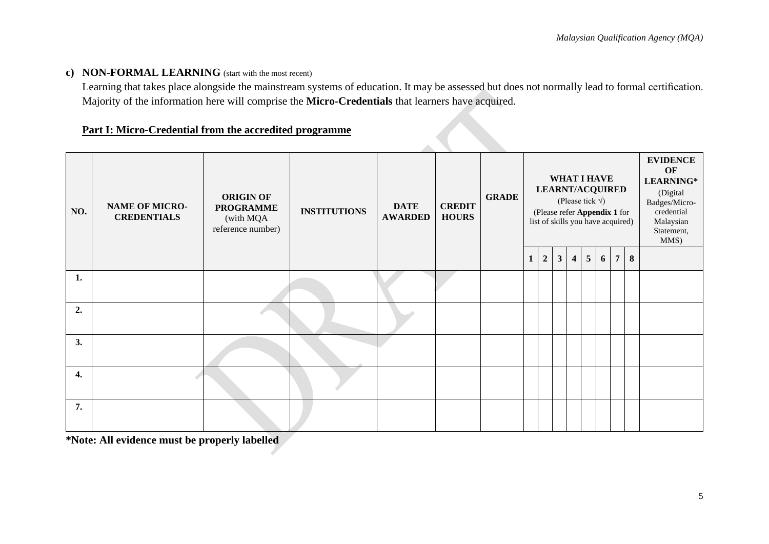## **c) NON-FORMAL LEARNING** (start with the most recent)

Learning that takes place alongside the mainstream systems of education. It may be assessed but does not normally lead to formal certification. Majority of the information here will comprise the **Micro-Credentials** that learners have acquired.

## **Part I: Micro-Credential from the accredited programme**

| NO.                | <b>NAME OF MICRO-</b><br><b>CREDENTIALS</b> | <b>ORIGIN OF</b><br><b>PROGRAMME</b><br>(with MQA<br>reference number) | <b>INSTITUTIONS</b> | <b>DATE</b><br><b>AWARDED</b> | <b>CREDIT</b><br><b>HOURS</b> | <b>GRADE</b> |   | <b>LEARNT/ACQUIRED</b><br>(Please refer Appendix 1 for<br>list of skills you have acquired) |                |                | <b>WHAT I HAVE</b><br>(Please tick $\sqrt{ }$ ) |   |                |   | <b>EVIDENCE</b><br>OF<br>LEARNING*<br>(Digital<br>Badges/Micro-<br>credential<br>Malaysian<br>Statement,<br>MMS) |
|--------------------|---------------------------------------------|------------------------------------------------------------------------|---------------------|-------------------------------|-------------------------------|--------------|---|---------------------------------------------------------------------------------------------|----------------|----------------|-------------------------------------------------|---|----------------|---|------------------------------------------------------------------------------------------------------------------|
|                    |                                             |                                                                        |                     |                               |                               |              | 1 | $\sqrt{2}$                                                                                  | 3 <sup>1</sup> | $\overline{4}$ | $5\phantom{.0}$                                 | 6 | $\overline{7}$ | 8 |                                                                                                                  |
| 1.                 |                                             |                                                                        |                     |                               |                               |              |   |                                                                                             |                |                |                                                 |   |                |   |                                                                                                                  |
| 2.                 |                                             |                                                                        |                     |                               |                               |              |   |                                                                                             |                |                |                                                 |   |                |   |                                                                                                                  |
| 3.                 |                                             |                                                                        |                     |                               |                               |              |   |                                                                                             |                |                |                                                 |   |                |   |                                                                                                                  |
| $\boldsymbol{4}$ . |                                             |                                                                        |                     |                               |                               |              |   |                                                                                             |                |                |                                                 |   |                |   |                                                                                                                  |
| 7.                 |                                             |                                                                        |                     |                               |                               |              |   |                                                                                             |                |                |                                                 |   |                |   |                                                                                                                  |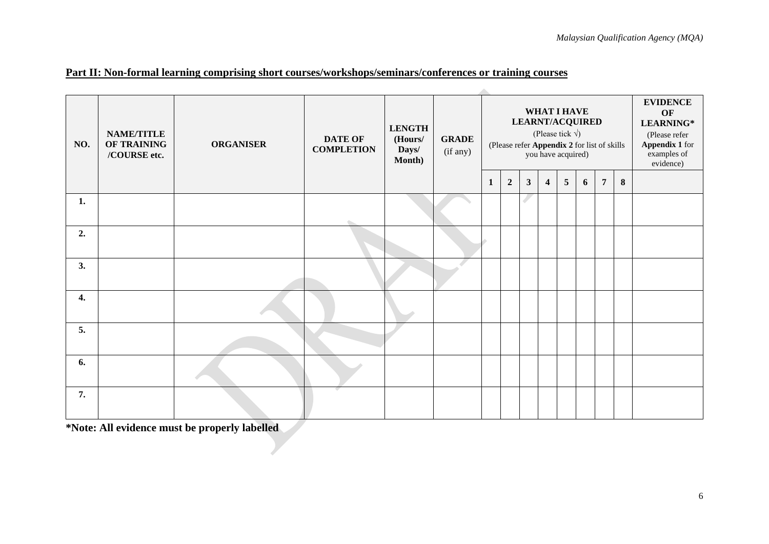| NO. | <b>NAME/TITLE</b><br>OF TRAINING<br>/COURSE etc. | <b>ORGANISER</b> | <b>DATE OF</b><br><b>COMPLETION</b> | <b>LENGTH</b><br>(Hours/<br>Days/<br>Month) | <b>GRADE</b><br>(if any) |   |                | <b>LEARNT/ACQUIRED</b><br>(Please refer Appendix 2 for list of skills |                         | WHAT I HAVE<br>(Please tick $\sqrt{ }$ )<br>you have acquired) |   |                |          | <b>EVIDENCE</b><br>OF<br>LEARNING*<br>(Please refer<br><b>Appendix 1</b> for<br>examples of<br>evidence) |
|-----|--------------------------------------------------|------------------|-------------------------------------|---------------------------------------------|--------------------------|---|----------------|-----------------------------------------------------------------------|-------------------------|----------------------------------------------------------------|---|----------------|----------|----------------------------------------------------------------------------------------------------------|
|     |                                                  |                  |                                     |                                             |                          | 1 | $\overline{2}$ | $\mathbf{3}$                                                          | $\overline{\mathbf{4}}$ | $5\phantom{.0}$                                                | 6 | $\overline{7}$ | $\bf{8}$ |                                                                                                          |
| 1.  |                                                  |                  |                                     |                                             |                          |   |                |                                                                       |                         |                                                                |   |                |          |                                                                                                          |
| 2.  |                                                  |                  |                                     |                                             |                          |   |                |                                                                       |                         |                                                                |   |                |          |                                                                                                          |
| 3.  |                                                  |                  |                                     |                                             |                          |   |                |                                                                       |                         |                                                                |   |                |          |                                                                                                          |
| 4.  |                                                  |                  |                                     |                                             |                          |   |                |                                                                       |                         |                                                                |   |                |          |                                                                                                          |
| 5.  |                                                  |                  |                                     |                                             |                          |   |                |                                                                       |                         |                                                                |   |                |          |                                                                                                          |
| 6.  |                                                  |                  |                                     |                                             |                          |   |                |                                                                       |                         |                                                                |   |                |          |                                                                                                          |
| 7.  |                                                  |                  |                                     |                                             |                          |   |                |                                                                       |                         |                                                                |   |                |          |                                                                                                          |

 $\sim$ 

## **Part II: Non-formal learning comprising short courses/workshops/seminars/conferences or training courses**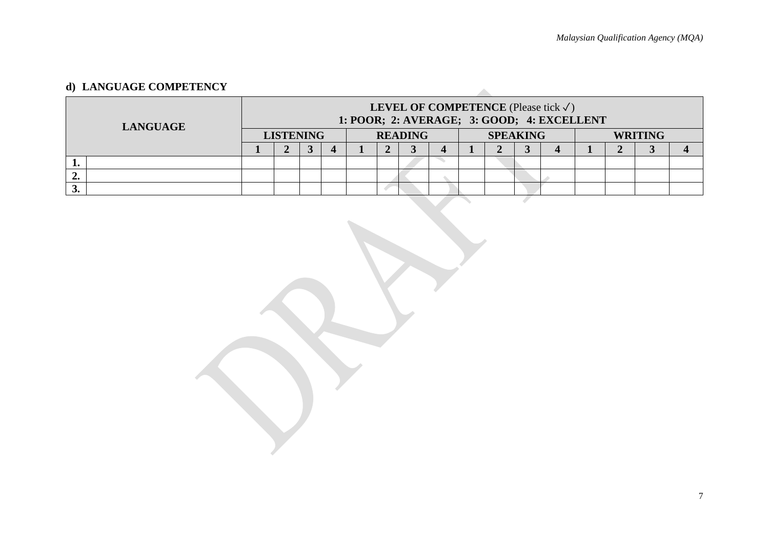# **d) LANGUAGE COMPETENCY**

|    | <b>LANGUAGE</b> |                  | <b>LEVEL OF COMPETENCE</b> (Please tick $\checkmark$ )<br>1: POOR; 2: AVERAGE; 3: GOOD; 4: EXCELLENT |  |  |  |  |                |  |  |                 |  |  |                |  |  |  |
|----|-----------------|------------------|------------------------------------------------------------------------------------------------------|--|--|--|--|----------------|--|--|-----------------|--|--|----------------|--|--|--|
|    |                 | <b>LISTENING</b> |                                                                                                      |  |  |  |  | <b>READING</b> |  |  | <b>SPEAKING</b> |  |  | <b>WRITING</b> |  |  |  |
|    |                 |                  |                                                                                                      |  |  |  |  |                |  |  |                 |  |  |                |  |  |  |
|    |                 |                  |                                                                                                      |  |  |  |  |                |  |  |                 |  |  |                |  |  |  |
| ∸∙ |                 |                  |                                                                                                      |  |  |  |  |                |  |  |                 |  |  |                |  |  |  |
|    |                 |                  |                                                                                                      |  |  |  |  |                |  |  |                 |  |  |                |  |  |  |
|    |                 |                  |                                                                                                      |  |  |  |  |                |  |  |                 |  |  |                |  |  |  |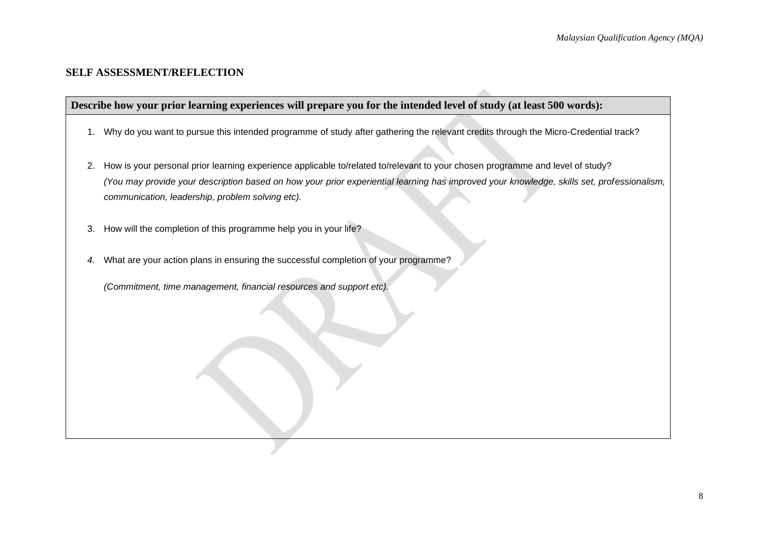### **SELF ASSESSMENT/REFLECTION**

### **Describe how your prior learning experiences will prepare you for the intended level of study (at least 500 words):**

- 1. Why do you want to pursue this intended programme of study after gathering the relevant credits through the Micro-Credential track?
- 2. How is your personal prior learning experience applicable to/related to/relevant to your chosen programme and level of study? *(You may provide your description based on how your prior experiential learning has improved your knowledge, skills set, professionalism, communication, leadership, problem solving etc).*
- 3. How will the completion of this programme help you in your life?
- *4.* What are your action plans in ensuring the successful completion of your programme?

*(Commitment, time management, financial resources and support etc).*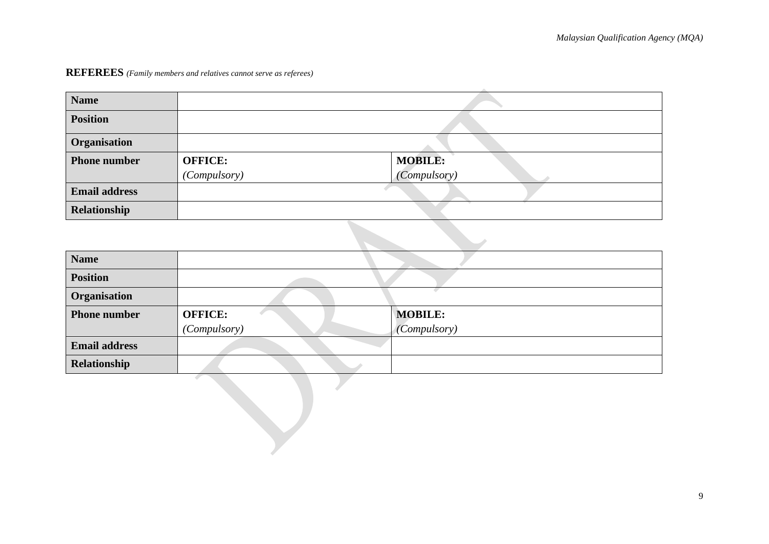# **REFEREES** *(Family members and relatives cannot serve as referees)*

| <b>Name</b>          |                |                     |
|----------------------|----------------|---------------------|
| <b>Position</b>      |                |                     |
| Organisation         |                |                     |
| <b>Phone number</b>  | <b>OFFICE:</b> | <b>MOBILE:</b>      |
|                      | (Compulsory)   | <i>(Compulsory)</i> |
| <b>Email address</b> |                |                     |
| Relationship         |                |                     |
|                      |                |                     |

| <b>Name</b>          |                |                     |  |  |  |  |  |  |
|----------------------|----------------|---------------------|--|--|--|--|--|--|
| <b>Position</b>      |                |                     |  |  |  |  |  |  |
| Organisation         |                | <b>C</b>            |  |  |  |  |  |  |
| <b>Phone number</b>  | <b>OFFICE:</b> | <b>MOBILE:</b>      |  |  |  |  |  |  |
|                      | (Compulsory)   | <i>(Compulsory)</i> |  |  |  |  |  |  |
| <b>Email address</b> |                |                     |  |  |  |  |  |  |
| Relationship         |                |                     |  |  |  |  |  |  |
|                      |                |                     |  |  |  |  |  |  |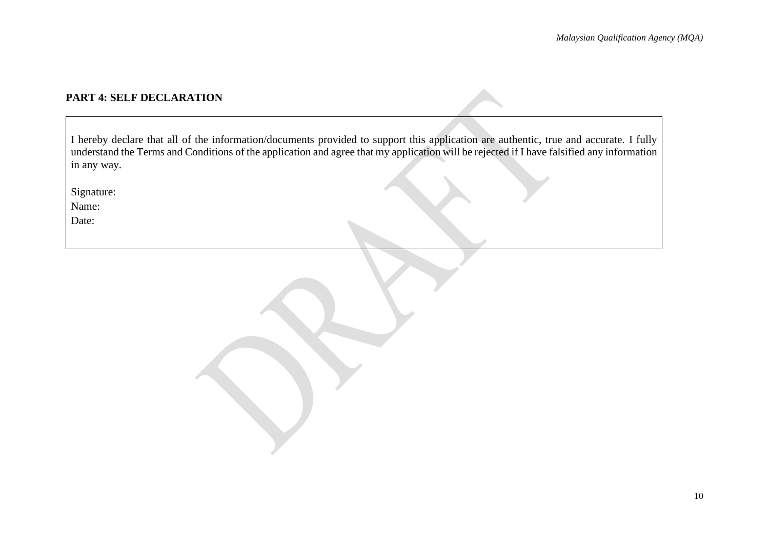# **PART 4: SELF DECLARATION**

| I hereby declare that all of the information/documents provided to support this application are authentic, true and accurate. I fully     |  |
|-------------------------------------------------------------------------------------------------------------------------------------------|--|
| understand the Terms and Conditions of the application and agree that my application will be rejected if I have falsified any information |  |
| in any way.                                                                                                                               |  |

Signature:

Name:

Date: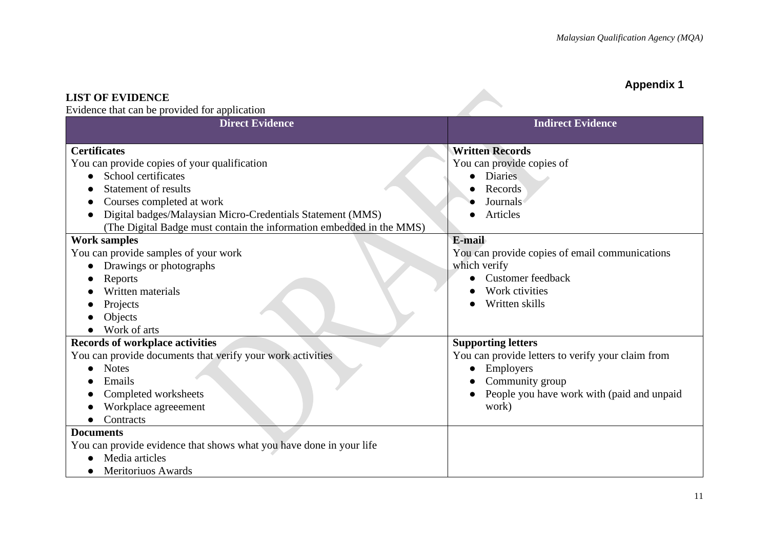# **Appendix 1**

**LIST OF EVIDENCE** Evidence that can be provided for application

| Evidence that can be provided for application<br><b>Direct Evidence</b> | <b>Indirect Evidence</b>                          |
|-------------------------------------------------------------------------|---------------------------------------------------|
| <b>Certificates</b>                                                     | <b>Written Records</b>                            |
| You can provide copies of your qualification                            | You can provide copies of                         |
| School certificates<br>$\bullet$                                        | <b>Diaries</b>                                    |
| <b>Statement of results</b>                                             | Records                                           |
| Courses completed at work                                               | Journals                                          |
| Digital badges/Malaysian Micro-Credentials Statement (MMS)              | Articles                                          |
| (The Digital Badge must contain the information embedded in the MMS)    |                                                   |
| <b>Work samples</b>                                                     | E-mail                                            |
| You can provide samples of your work                                    | You can provide copies of email communications    |
| Drawings or photographs<br>$\bullet$                                    | which verify                                      |
| Reports                                                                 | <b>Customer</b> feedback                          |
| Written materials                                                       | Work ctivities                                    |
| Projects                                                                | Written skills                                    |
| Objects                                                                 |                                                   |
| Work of arts                                                            |                                                   |
| <b>Records of workplace activities</b>                                  | <b>Supporting letters</b>                         |
| You can provide documents that verify your work activities              | You can provide letters to verify your claim from |
| <b>Notes</b><br>$\bullet$                                               | Employers                                         |
| Emails                                                                  | Community group                                   |
| Completed worksheets                                                    | People you have work with (paid and unpaid        |
| Workplace agreeement                                                    | work)                                             |
| Contracts                                                               |                                                   |
| <b>Documents</b>                                                        |                                                   |
| You can provide evidence that shows what you have done in your life     |                                                   |
| Media articles                                                          |                                                   |
| Meritoriuos Awards                                                      |                                                   |

**Allen**